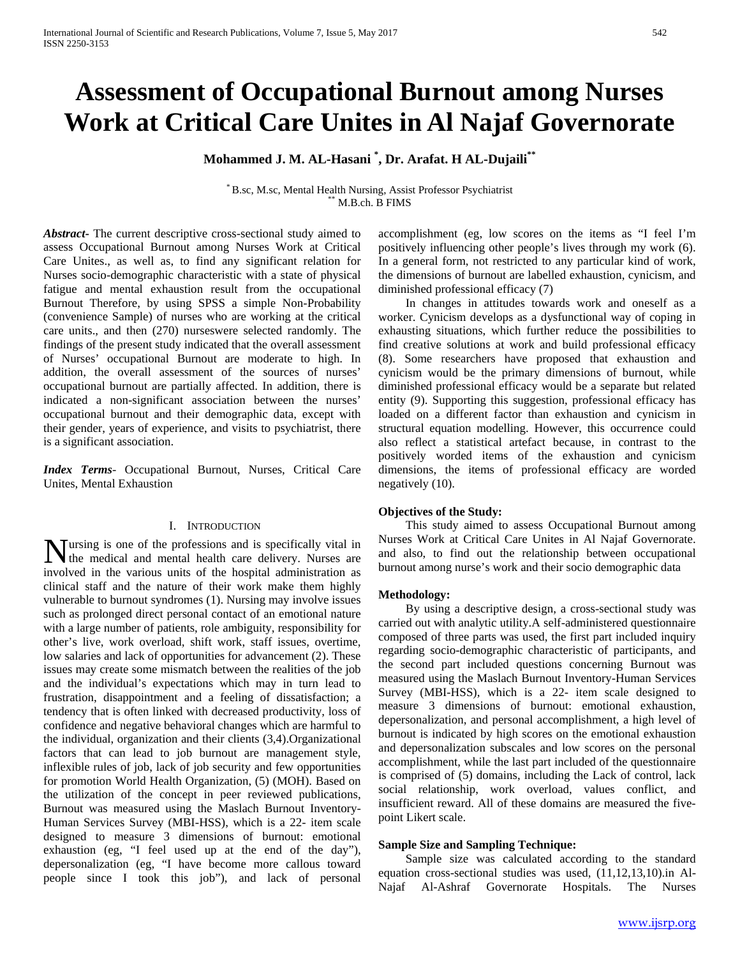# **Assessment of Occupational Burnout among Nurses Work at Critical Care Unites in Al Najaf Governorate**

## **Mohammed J. M. AL-Hasani \* , Dr. Arafat. H AL-Dujaili\*\***

\* B.sc, M.sc, Mental Health Nursing, Assist Professor Psychiatrist \*\* M.B.ch. B FIMS

*Abstract***-** The current descriptive cross-sectional study aimed to assess Occupational Burnout among Nurses Work at Critical Care Unites., as well as, to find any significant relation for Nurses socio-demographic characteristic with a state of physical fatigue and mental exhaustion result from the occupational Burnout Therefore, by using SPSS a simple Non-Probability (convenience Sample) of nurses who are working at the critical care units., and then (270) nurseswere selected randomly. The findings of the present study indicated that the overall assessment of Nurses' occupational Burnout are moderate to high. In addition, the overall assessment of the sources of nurses' occupational burnout are partially affected. In addition, there is indicated a non-significant association between the nurses' occupational burnout and their demographic data, except with their gender, years of experience, and visits to psychiatrist, there is a significant association.

*Index Terms*- Occupational Burnout, Nurses, Critical Care Unites, Mental Exhaustion

## I. INTRODUCTION

ursing is one of the professions and is specifically vital in **N** ursing is one of the professions and is specifically vital in the medical and mental health care delivery. Nurses are involved in the various units of the hospital administration as clinical staff and the nature of their work make them highly vulnerable to burnout syndromes (1). Nursing may involve issues such as prolonged direct personal contact of an emotional nature with a large number of patients, role ambiguity, responsibility for other's live, work overload, shift work, staff issues, overtime, low salaries and lack of opportunities for advancement (2). These issues may create some mismatch between the realities of the job and the individual's expectations which may in turn lead to frustration, disappointment and a feeling of dissatisfaction; a tendency that is often linked with decreased productivity, loss of confidence and negative behavioral changes which are harmful to the individual, organization and their clients (3,4).Organizational factors that can lead to job burnout are management style, inflexible rules of job, lack of job security and few opportunities for promotion World Health Organization, (5) (MOH). Based on the utilization of the concept in peer reviewed publications, Burnout was measured using the Maslach Burnout Inventory-Human Services Survey (MBI-HSS), which is a 22- item scale designed to measure 3 dimensions of burnout: emotional exhaustion (eg, "I feel used up at the end of the day"), depersonalization (eg, "I have become more callous toward people since I took this job"), and lack of personal

accomplishment (eg, low scores on the items as "I feel I'm positively influencing other people's lives through my work (6). In a general form, not restricted to any particular kind of work, the dimensions of burnout are labelled exhaustion, cynicism, and diminished professional efficacy (7)

 In changes in attitudes towards work and oneself as a worker. Cynicism develops as a dysfunctional way of coping in exhausting situations, which further reduce the possibilities to find creative solutions at work and build professional efficacy (8). Some researchers have proposed that exhaustion and cynicism would be the primary dimensions of burnout, while diminished professional efficacy would be a separate but related entity (9). Supporting this suggestion, professional efficacy has loaded on a different factor than exhaustion and cynicism in structural equation modelling. However, this occurrence could also reflect a statistical artefact because, in contrast to the positively worded items of the exhaustion and cynicism dimensions, the items of professional efficacy are worded negatively (10).

### **Objectives of the Study:**

 This study aimed to assess Occupational Burnout among Nurses Work at Critical Care Unites in Al Najaf Governorate. and also, to find out the relationship between occupational burnout among nurse's work and their socio demographic data

### **Methodology:**

 By using a descriptive design, a cross-sectional study was carried out with analytic utility.A self-administered questionnaire composed of three parts was used, the first part included inquiry regarding socio-demographic characteristic of participants, and the second part included questions concerning Burnout was measured using the Maslach Burnout Inventory-Human Services Survey (MBI-HSS), which is a 22- item scale designed to measure 3 dimensions of burnout: emotional exhaustion, depersonalization, and personal accomplishment, a high level of burnout is indicated by high scores on the emotional exhaustion and depersonalization subscales and low scores on the personal accomplishment, while the last part included of the questionnaire is comprised of (5) domains, including the Lack of control, lack social relationship, work overload, values conflict, and insufficient reward. All of these domains are measured the fivepoint Likert scale.

## **Sample Size and Sampling Technique:**

 Sample size was calculated according to the standard equation cross-sectional studies was used, (11,12,13,10).in Al-Najaf Al-Ashraf Governorate Hospitals. The Nurses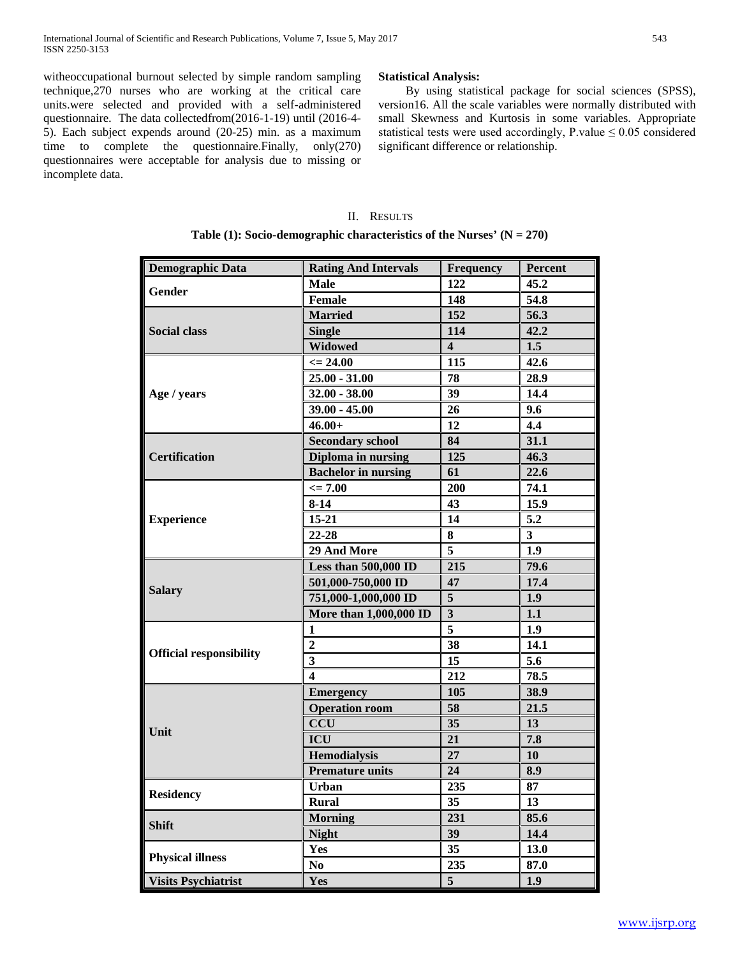witheoccupational burnout selected by simple random sampling technique,270 nurses who are working at the critical care units.were selected and provided with a self-administered questionnaire. The data collectedfrom(2016-1-19) until (2016-4- 5). Each subject expends around (20-25) min. as a maximum time to complete the questionnaire.Finally, only(270) questionnaires were acceptable for analysis due to missing or incomplete data.

## **Statistical Analysis:**

 By using statistical package for social sciences (SPSS), version16. All the scale variables were normally distributed with small Skewness and Kurtosis in some variables. Appropriate statistical tests were used accordingly, P.value  $\leq 0.05$  considered significant difference or relationship.

## II. RESULTS

**Table (1): Socio-demographic characteristics of the Nurses' (N = 270)**

| <b>Demographic Data</b>        | <b>Rating And Intervals</b> | Frequency               | <b>Percent</b> |  |
|--------------------------------|-----------------------------|-------------------------|----------------|--|
| <b>Gender</b>                  | <b>Male</b>                 | 122                     | 45.2           |  |
|                                | <b>Female</b>               | 148                     | 54.8           |  |
|                                | <b>Married</b>              | 152                     | 56.3           |  |
| <b>Social class</b>            | <b>Single</b>               | 114                     | 42.2           |  |
|                                | Widowed                     | $\overline{\mathbf{4}}$ | 1.5            |  |
|                                | $\epsilon = 24.00$          | 115                     | 42.6           |  |
|                                | $25.00 - 31.00$             | 78                      | 28.9           |  |
| Age / years                    | $32.00 - 38.00$             | 39                      | 14.4           |  |
|                                | $39.00 - 45.00$             | 26                      | 9.6            |  |
|                                | $46.00+$                    | 12                      | 4.4            |  |
|                                | <b>Secondary school</b>     | 84                      | 31.1           |  |
| <b>Certification</b>           | Diploma in nursing          | 125                     | 46.3           |  |
|                                | <b>Bachelor</b> in nursing  | 61                      | 22.6           |  |
|                                | $\leq$ 7.00                 | 200                     | 74.1           |  |
|                                | $8 - 14$                    | 43                      | 15.9           |  |
| <b>Experience</b>              | $15 - 21$                   | 14                      | 5.2            |  |
|                                | 22-28                       | 8                       | 3              |  |
|                                | 29 And More                 | 5                       | 1.9            |  |
|                                | Less than 500,000 ID        | 215                     | 79.6           |  |
|                                | 501,000-750,000 ID          | 47                      | 17.4           |  |
| <b>Salary</b>                  | 751,000-1,000,000 ID        | $\overline{\mathbf{5}}$ | 1.9            |  |
|                                | More than 1,000,000 ID      | $\mathbf{3}$            | 1.1            |  |
|                                | 1                           | 5                       | 1.9            |  |
|                                | $\mathbf{2}$                | 38                      | 14.1           |  |
| <b>Official responsibility</b> | $\overline{\mathbf{3}}$     | 15                      | 5.6            |  |
|                                | $\overline{\mathbf{4}}$     | 212                     | 78.5           |  |
|                                | <b>Emergency</b>            | 105                     | 38.9           |  |
|                                | <b>Operation room</b>       | 58                      | 21.5           |  |
|                                | CCU                         | 35                      | 13             |  |
| Unit                           | <b>ICU</b>                  | 21                      | 7.8            |  |
|                                | <b>Hemodialysis</b>         | 27                      | 10             |  |
|                                | <b>Premature units</b>      | 24                      | 8.9            |  |
|                                | <b>Urban</b>                | 235                     | 87             |  |
| <b>Residency</b>               | <b>Rural</b>                | 35                      | 13             |  |
|                                | <b>Morning</b>              | 231                     | 85.6           |  |
| <b>Shift</b>                   | <b>Night</b>                | 39                      | 14.4           |  |
|                                | Yes                         | 35                      | 13.0           |  |
| <b>Physical illness</b>        | N <sub>0</sub>              | 235                     | 87.0           |  |
| <b>Visits Psychiatrist</b>     | Yes                         | 5                       | 1.9            |  |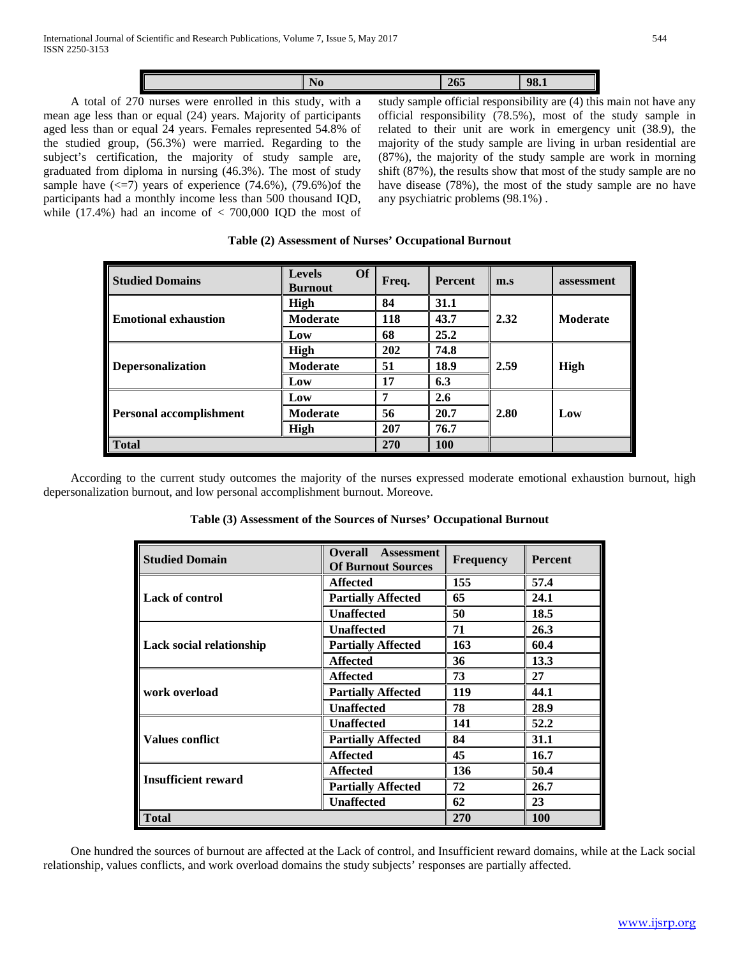|  | $\sim$ $-$<br>. | w<br>. |
|--|-----------------|--------|
|  |                 |        |

 A total of 270 nurses were enrolled in this study, with a mean age less than or equal (24) years. Majority of participants aged less than or equal 24 years. Females represented 54.8% of the studied group, (56.3%) were married. Regarding to the subject's certification, the majority of study sample are, graduated from diploma in nursing (46.3%). The most of study sample have  $\langle \langle 5|$  years of experience (74.6%), (79.6%) of the participants had a monthly income less than 500 thousand IQD, while  $(17.4\%)$  had an income of  $< 700,000$  IQD the most of study sample official responsibility are (4) this main not have any official responsibility (78.5%), most of the study sample in related to their unit are work in emergency unit (38.9), the majority of the study sample are living in urban residential are (87%), the majority of the study sample are work in morning shift (87%), the results show that most of the study sample are no have disease (78%), the most of the study sample are no have any psychiatric problems (98.1%) .

| <b>Studied Domains</b>         | <b>Of</b><br><b>Levels</b><br><b>Burnout</b> | Freq. | <b>Percent</b> | m.s  | assessment      |  |
|--------------------------------|----------------------------------------------|-------|----------------|------|-----------------|--|
|                                | <b>High</b>                                  | 84    | 31.1           |      |                 |  |
| <b>Emotional exhaustion</b>    | <b>Moderate</b>                              | 118   | 43.7           | 2.32 | <b>Moderate</b> |  |
|                                | Low                                          | 68    | 25.2           |      |                 |  |
| <b>Depersonalization</b>       | High                                         | 202   | 74.8           |      |                 |  |
|                                | <b>Moderate</b>                              | 51    | 18.9           | 2.59 | High            |  |
|                                | Low                                          | 17    | 6.3            |      |                 |  |
|                                | Low                                          | 7     | 2.6            |      |                 |  |
| <b>Personal accomplishment</b> | <b>Moderate</b>                              | 56    | 20.7           | 2.80 | Low             |  |
|                                | High                                         | 207   | 76.7           |      |                 |  |
| <b>Total</b>                   |                                              | 270   | 100            |      |                 |  |

 According to the current study outcomes the majority of the nurses expressed moderate emotional exhaustion burnout, high depersonalization burnout, and low personal accomplishment burnout. Moreove.

| <b>Studied Domain</b>      | <b>Overall</b><br><b>Assessment</b><br><b>Of Burnout Sources</b> | <b>Frequency</b> | <b>Percent</b> |
|----------------------------|------------------------------------------------------------------|------------------|----------------|
|                            | <b>Affected</b>                                                  | 155              | 57.4           |
| Lack of control            | <b>Partially Affected</b>                                        | 24.1             |                |
|                            | <b>Unaffected</b>                                                | 50               | 18.5           |
|                            | <b>Unaffected</b>                                                | 71               | 26.3           |
| Lack social relationship   | <b>Partially Affected</b>                                        | 163              | 60.4           |
|                            | <b>Affected</b>                                                  | 36               | 13.3           |
|                            | <b>Affected</b>                                                  | 73               | 27             |
| work overload              | <b>Partially Affected</b>                                        | 119              | 44.1           |
|                            | <b>Unaffected</b><br>78                                          |                  | 28.9           |
|                            | <b>Unaffected</b>                                                | 141              | 52.2           |
| <b>Values conflict</b>     | 84<br><b>Partially Affected</b>                                  |                  | 31.1           |
|                            | <b>Affected</b>                                                  | 45               | 16.7           |
|                            | 136<br><b>Affected</b>                                           |                  | 50.4           |
| <b>Insufficient reward</b> | <b>Partially Affected</b>                                        | 72               | 26.7           |
|                            | <b>Unaffected</b><br>62                                          |                  | 23             |
| <b>Total</b>               |                                                                  | 270              | <b>100</b>     |

 One hundred the sources of burnout are affected at the Lack of control, and Insufficient reward domains, while at the Lack social relationship, values conflicts, and work overload domains the study subjects' responses are partially affected.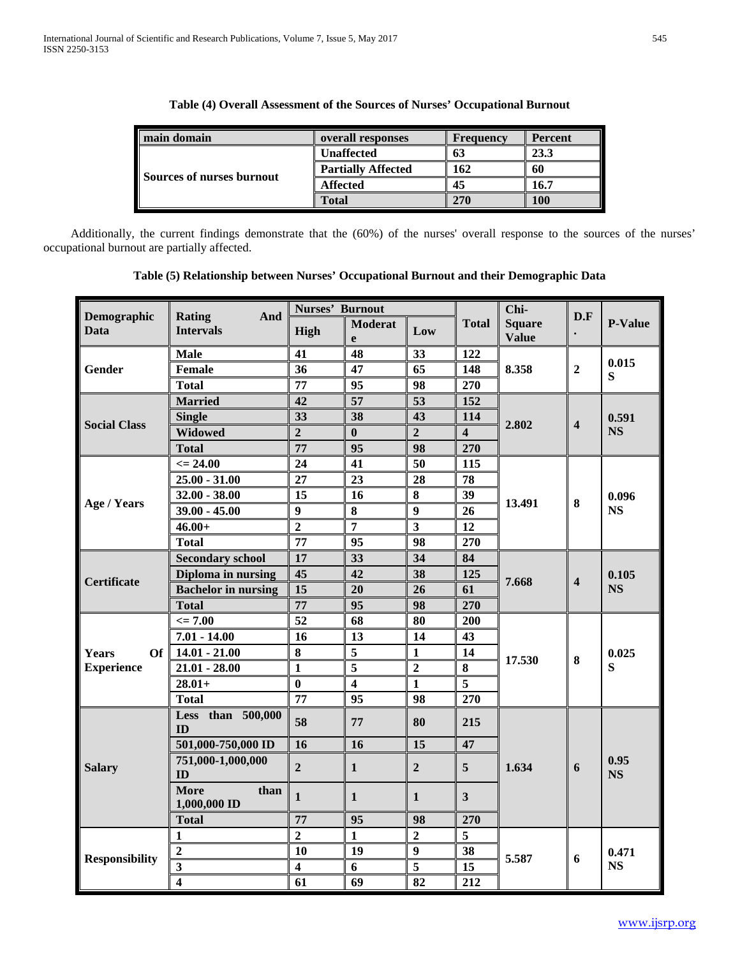| main domain               | overall responses         | Frequency | <b>Percent</b> |  |
|---------------------------|---------------------------|-----------|----------------|--|
|                           | <b>Unaffected</b>         | 63        | 23.3           |  |
|                           | <b>Partially Affected</b> | 162       | 60             |  |
| Sources of nurses burnout | <b>Affected</b>           | 45        | 16.7           |  |
|                           | <b>Total</b>              | 270       | <b>100</b>     |  |

| Table (4) Overall Assessment of the Sources of Nurses' Occupational Burnout |  |
|-----------------------------------------------------------------------------|--|
|-----------------------------------------------------------------------------|--|

 Additionally, the current findings demonstrate that the (60%) of the nurses' overall response to the sources of the nurses' occupational burnout are partially affected.

|                            |                                          | Nurses' Burnout         |                         |                         |                         | Chi-                          | D.F                     |                   |
|----------------------------|------------------------------------------|-------------------------|-------------------------|-------------------------|-------------------------|-------------------------------|-------------------------|-------------------|
| Demographic<br><b>Data</b> | <b>Rating</b><br>And<br><b>Intervals</b> | High                    | <b>Moderat</b><br>e     | Low                     | <b>Total</b>            | <b>Square</b><br><b>Value</b> |                         | P-Value           |
|                            | <b>Male</b>                              | 41                      | 48                      | 33                      | 122                     |                               |                         |                   |
| Gender                     | <b>Female</b>                            | 36                      | 47                      | 65                      | 148                     | 8.358                         | $\overline{2}$          | 0.015<br>S        |
|                            | <b>Total</b>                             | 77                      | 95                      | 98                      | 270                     |                               |                         |                   |
|                            | <b>Married</b>                           | 42                      | 57                      | 53                      | 152                     |                               |                         |                   |
| <b>Social Class</b>        | <b>Single</b>                            | 33                      | 38                      | 43                      | 114                     | 2.802                         | $\overline{\mathbf{4}}$ | 0.591             |
|                            | <b>Widowed</b>                           | $\overline{2}$          | $\bf{0}$                | $\overline{2}$          | $\overline{\mathbf{4}}$ |                               |                         | <b>NS</b>         |
|                            | <b>Total</b>                             | 77                      | 95                      | 98                      | 270                     |                               |                         |                   |
|                            | $\epsilon = 24.00$                       | 24                      | 41                      | 50                      | 115                     |                               |                         |                   |
|                            | $25.00 - 31.00$                          | 27                      | 23                      | 28                      | 78                      |                               |                         |                   |
|                            | $32.00 - 38.00$                          | 15                      | 16                      | 8                       | 39                      |                               |                         | 0.096             |
| Age / Years                | $39.00 - 45.00$                          | $\boldsymbol{9}$        | 8                       | 9                       | 26                      | 13.491                        | 8                       | <b>NS</b>         |
|                            | $46.00+$                                 | $\overline{2}$          | $\overline{7}$          | $\overline{\mathbf{3}}$ | 12                      |                               |                         |                   |
|                            | <b>Total</b>                             | 77                      | 95                      | 98                      | 270                     |                               |                         |                   |
|                            | <b>Secondary school</b>                  | 17                      | 33                      | 34                      | 84                      | 7.668                         | $\overline{\mathbf{4}}$ | 0.105             |
| <b>Certificate</b>         | Diploma in nursing                       | 45                      | 42                      | 38                      | 125                     |                               |                         |                   |
|                            | <b>Bachelor</b> in nursing               | 15                      | 20                      | 26                      | 61                      |                               |                         | <b>NS</b>         |
|                            | <b>Total</b>                             | 77                      | 95                      | 98                      | 270                     |                               |                         |                   |
|                            | $\leq$ 7.00                              | 52                      | 68                      | 80                      | 200                     |                               | 8                       |                   |
|                            | $7.01 - 14.00$                           | 16                      | 13                      | 14                      | 43                      |                               |                         |                   |
| <b>Of</b><br><b>Years</b>  | $14.01 - 21.00$                          | 8                       | $\overline{5}$          | $\mathbf{1}$            | 14                      |                               |                         | 0.025<br>S        |
| <b>Experience</b>          | $21.01 - 28.00$                          | $\mathbf{1}$            | 5                       | $\overline{2}$          | 8                       | 17.530                        |                         |                   |
|                            | $28.01+$                                 | $\bf{0}$                | $\overline{\mathbf{4}}$ | $\mathbf{1}$            | 5                       |                               |                         |                   |
|                            | <b>Total</b>                             | 77                      | 95                      | 98                      | 270                     |                               |                         |                   |
|                            | Less than 500,000<br>ID                  | 58                      | 77                      | 80                      | 215                     |                               |                         |                   |
|                            | 501,000-750,000 ID                       | 16                      | 16                      | 15                      | 47                      |                               |                         |                   |
| <b>Salary</b>              | 751,000-1,000,000<br>ID                  | $\overline{2}$          | $\mathbf{1}$            | $\overline{2}$          | 5 <sup>5</sup>          | 1.634                         | 6                       | 0.95<br><b>NS</b> |
|                            | <b>More</b><br>than<br>1,000,000 ID      | $\mathbf{1}$            | $\mathbf{1}$            | $\mathbf{1}$            | 3                       |                               |                         |                   |
|                            | <b>Total</b>                             | 77                      | 95                      | 98                      | 270                     |                               |                         |                   |
|                            | $\mathbf{1}$                             | $\overline{2}$          | $\mathbf{1}$            | $\overline{2}$          | 5                       | 6<br>5.587                    |                         |                   |
| <b>Responsibility</b>      | $\overline{2}$                           | 10                      | 19                      | $\boldsymbol{9}$        | 38                      |                               |                         | 0.471             |
|                            | $\overline{\mathbf{3}}$                  | $\overline{\mathbf{4}}$ | 6                       | 5                       | 15                      |                               |                         | <b>NS</b>         |
|                            | $\overline{4}$                           | 61                      | 69                      | 82                      | 212                     |                               |                         |                   |

## **Table (5) Relationship between Nurses' Occupational Burnout and their Demographic Data**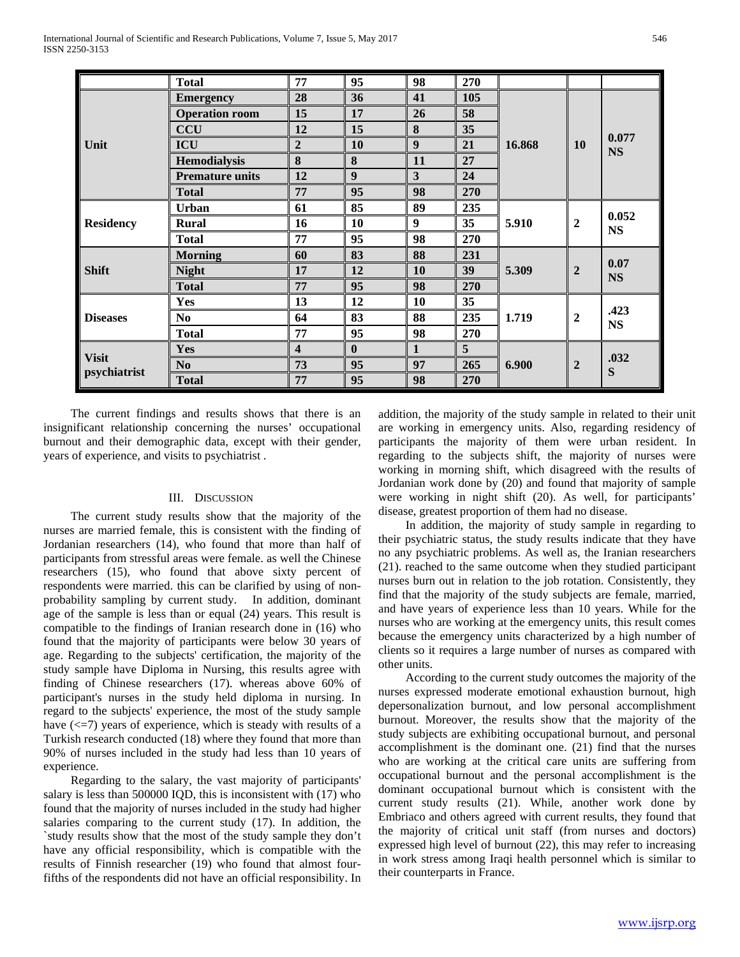|                              | <b>Total</b>           | 77                      | 95       | 98           | 270            |        |                  |                    |
|------------------------------|------------------------|-------------------------|----------|--------------|----------------|--------|------------------|--------------------|
|                              | <b>Emergency</b>       | 28                      | 36       | 41           | 105            | 16.868 | <b>10</b>        | 0.077<br><b>NS</b> |
|                              | <b>Operation room</b>  | 15                      | 17       | 26           | 58             |        |                  |                    |
|                              | <b>CCU</b>             | 12                      | 15       | 8            | 35             |        |                  |                    |
| Unit                         | <b>ICU</b>             | $\boldsymbol{2}$        | 10       | 9            | 21             |        |                  |                    |
|                              | <b>Hemodialysis</b>    | 8                       | 8        | 11           | 27             |        |                  |                    |
|                              | <b>Premature units</b> | 12                      | 9        | 3            | 24             |        |                  |                    |
|                              | <b>Total</b>           | 77                      | 95       | 98           | 270            |        |                  |                    |
|                              | <b>Urban</b>           | 61                      | 85       | 89           | 235            | 5.910  | $\overline{2}$   | 0.052<br><b>NS</b> |
| <b>Residency</b>             | <b>Rural</b>           | 16                      | 10       | 9            | 35             |        |                  |                    |
|                              | <b>Total</b>           | 77                      | 95       | 98           | 270            |        |                  |                    |
|                              | <b>Morning</b>         | 60                      | 83       | 88           | 231            |        | $\overline{2}$   | 0.07<br><b>NS</b>  |
| <b>Shift</b>                 | <b>Night</b>           | 17                      | 12       | 10           | 39             | 5.309  |                  |                    |
|                              | <b>Total</b>           | 77                      | 95       | 98           | 270            |        |                  |                    |
|                              | Yes                    | 13                      | 12       | 10           | 35             |        | $\boldsymbol{2}$ | .423<br><b>NS</b>  |
| <b>Diseases</b>              | N <sub>0</sub>         | 64                      | 83       | 88           | 235            | 1.719  |                  |                    |
|                              | <b>Total</b>           | 77                      | 95       | 98           | 270            |        |                  |                    |
| <b>Visit</b><br>psychiatrist | <b>Yes</b>             | $\overline{\mathbf{4}}$ | $\bf{0}$ | $\mathbf{1}$ | 5 <sup>5</sup> | 6.900  | $\overline{2}$   | .032<br>S          |
|                              | No                     | 73                      | 95       | 97           | 265            |        |                  |                    |
|                              | <b>Total</b>           | 77                      | 95       | 98           | 270            |        |                  |                    |

 The current findings and results shows that there is an insignificant relationship concerning the nurses' occupational burnout and their demographic data, except with their gender, years of experience, and visits to psychiatrist .

## III. DISCUSSION

 The current study results show that the majority of the nurses are married female, this is consistent with the finding of Jordanian researchers (14), who found that more than half of participants from stressful areas were female. as well the Chinese researchers (15), who found that above sixty percent of respondents were married. this can be clarified by using of nonprobability sampling by current study. In addition, dominant age of the sample is less than or equal (24) years. This result is compatible to the findings of Iranian research done in (16) who found that the majority of participants were below 30 years of age. Regarding to the subjects' certification, the majority of the study sample have Diploma in Nursing, this results agree with finding of Chinese researchers (17). whereas above 60% of participant's nurses in the study held diploma in nursing. In regard to the subjects' experience, the most of the study sample have  $\left(\leq 7\right)$  years of experience, which is steady with results of a Turkish research conducted (18) where they found that more than 90% of nurses included in the study had less than 10 years of experience.

 Regarding to the salary, the vast majority of participants' salary is less than 500000 IQD, this is inconsistent with (17) who found that the majority of nurses included in the study had higher salaries comparing to the current study (17). In addition, the `study results show that the most of the study sample they don't have any official responsibility, which is compatible with the results of Finnish researcher (19) who found that almost fourfifths of the respondents did not have an official responsibility. In addition, the majority of the study sample in related to their unit are working in emergency units. Also, regarding residency of participants the majority of them were urban resident. In regarding to the subjects shift, the majority of nurses were working in morning shift, which disagreed with the results of Jordanian work done by (20) and found that majority of sample were working in night shift (20). As well, for participants' disease, greatest proportion of them had no disease.

 In addition, the majority of study sample in regarding to their psychiatric status, the study results indicate that they have no any psychiatric problems. As well as, the Iranian researchers (21). reached to the same outcome when they studied participant nurses burn out in relation to the job rotation. Consistently, they find that the majority of the study subjects are female, married, and have years of experience less than 10 years. While for the nurses who are working at the emergency units, this result comes because the emergency units characterized by a high number of clients so it requires a large number of nurses as compared with other units.

 According to the current study outcomes the majority of the nurses expressed moderate emotional exhaustion burnout, high depersonalization burnout, and low personal accomplishment burnout. Moreover, the results show that the majority of the study subjects are exhibiting occupational burnout, and personal accomplishment is the dominant one. (21) find that the nurses who are working at the critical care units are suffering from occupational burnout and the personal accomplishment is the dominant occupational burnout which is consistent with the current study results (21). While, another work done by Embriaco and others agreed with current results, they found that the majority of critical unit staff (from nurses and doctors) expressed high level of burnout (22), this may refer to increasing in work stress among Iraqi health personnel which is similar to their counterparts in France.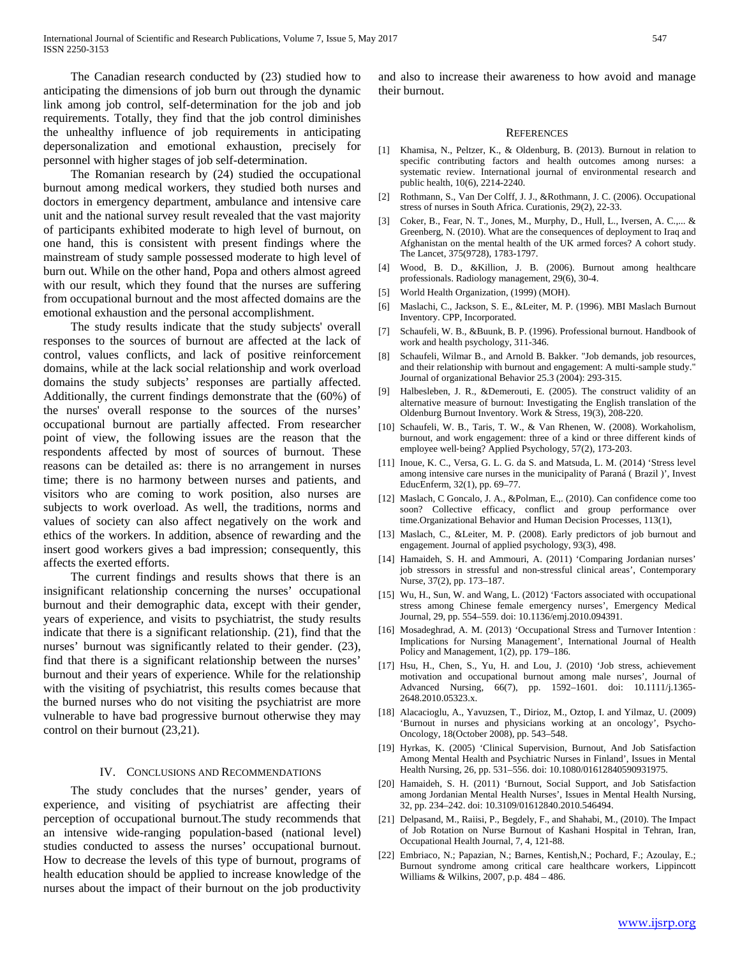The Canadian research conducted by (23) studied how to anticipating the dimensions of job burn out through the dynamic link among job control, self-determination for the job and job requirements. Totally, they find that the job control diminishes the unhealthy influence of job requirements in anticipating depersonalization and emotional exhaustion, precisely for personnel with higher stages of job self-determination.

 The Romanian research by (24) studied the occupational burnout among medical workers, they studied both nurses and doctors in emergency department, ambulance and intensive care unit and the national survey result revealed that the vast majority of participants exhibited moderate to high level of burnout, on one hand, this is consistent with present findings where the mainstream of study sample possessed moderate to high level of burn out. While on the other hand, Popa and others almost agreed with our result, which they found that the nurses are suffering from occupational burnout and the most affected domains are the emotional exhaustion and the personal accomplishment.

 The study results indicate that the study subjects' overall responses to the sources of burnout are affected at the lack of control, values conflicts, and lack of positive reinforcement domains, while at the lack social relationship and work overload domains the study subjects' responses are partially affected. Additionally, the current findings demonstrate that the (60%) of the nurses' overall response to the sources of the nurses' occupational burnout are partially affected. From researcher point of view, the following issues are the reason that the respondents affected by most of sources of burnout. These reasons can be detailed as: there is no arrangement in nurses time; there is no harmony between nurses and patients, and visitors who are coming to work position, also nurses are subjects to work overload. As well, the traditions, norms and values of society can also affect negatively on the work and ethics of the workers. In addition, absence of rewarding and the insert good workers gives a bad impression; consequently, this affects the exerted efforts.

 The current findings and results shows that there is an insignificant relationship concerning the nurses' occupational burnout and their demographic data, except with their gender, years of experience, and visits to psychiatrist, the study results indicate that there is a significant relationship. (21), find that the nurses' burnout was significantly related to their gender. (23), find that there is a significant relationship between the nurses' burnout and their years of experience. While for the relationship with the visiting of psychiatrist, this results comes because that the burned nurses who do not visiting the psychiatrist are more vulnerable to have bad progressive burnout otherwise they may control on their burnout (23,21).

#### IV. CONCLUSIONS AND RECOMMENDATIONS

 The study concludes that the nurses' gender, years of experience, and visiting of psychiatrist are affecting their perception of occupational burnout.The study recommends that an intensive wide-ranging population-based (national level) studies conducted to assess the nurses' occupational burnout. How to decrease the levels of this type of burnout, programs of health education should be applied to increase knowledge of the nurses about the impact of their burnout on the job productivity

and also to increase their awareness to how avoid and manage their burnout.

#### **REFERENCES**

- [1] Khamisa, N., Peltzer, K., & Oldenburg, B. (2013). Burnout in relation to specific contributing factors and health outcomes among nurses: a systematic review. International journal of environmental research and public health, 10(6), 2214-2240.
- [2] Rothmann, S., Van Der Colff, J. J., &Rothmann, J. C. (2006). Occupational stress of nurses in South Africa. Curationis, 29(2), 22-33.
- [3] Coker, B., Fear, N. T., Jones, M., Murphy, D., Hull, L., Iversen, A. C.,... & Greenberg, N. (2010). What are the consequences of deployment to Iraq and Afghanistan on the mental health of the UK armed forces? A cohort study. The Lancet, 375(9728), 1783-1797.
- [4] Wood, B. D., &Killion, J. B. (2006). Burnout among healthcare professionals. Radiology management, 29(6), 30-4.
- [5] World Health Organization, (1999) (MOH).
- [6] Maslachi, C., Jackson, S. E., &Leiter, M. P. (1996). MBI Maslach Burnout Inventory. CPP, Incorporated.
- [7] Schaufeli, W. B., &Buunk, B. P. (1996). Professional burnout. Handbook of work and health psychology, 311-346.
- [8] Schaufeli, Wilmar B., and Arnold B. Bakker. "Job demands, job resources, and their relationship with burnout and engagement: A multi‐sample study." Journal of organizational Behavior 25.3 (2004): 293-315.
- [9] Halbesleben, J. R., &Demerouti, E. (2005). The construct validity of an alternative measure of burnout: Investigating the English translation of the Oldenburg Burnout Inventory. Work & Stress, 19(3), 208-220.
- [10] Schaufeli, W. B., Taris, T. W., & Van Rhenen, W. (2008). Workaholism, burnout, and work engagement: three of a kind or three different kinds of employee well‐being? Applied Psychology, 57(2), 173-203.
- [11] Inoue, K. C., Versa, G. L. G. da S. and Matsuda, L. M. (2014) 'Stress level among intensive care nurses in the municipality of Paraná ( Brazil )', Invest EducEnferm, 32(1), pp. 69–77.
- [12] Maslach, C Goncalo, J. A., &Polman, E.,. (2010). Can confidence come too soon? Collective efficacy, conflict and group performance over time.Organizational Behavior and Human Decision Processes, 113(1),
- [13] Maslach, C., &Leiter, M. P. (2008). Early predictors of job burnout and engagement. Journal of applied psychology, 93(3), 498.
- [14] Hamaideh, S. H. and Ammouri, A. (2011) 'Comparing Jordanian nurses' job stressors in stressful and non-stressful clinical areas', Contemporary Nurse, 37(2), pp. 173–187.
- [15] Wu, H., Sun, W. and Wang, L. (2012) 'Factors associated with occupational stress among Chinese female emergency nurses', Emergency Medical Journal, 29, pp. 554–559. doi: 10.1136/emj.2010.094391.
- [16] Mosadeghrad, A. M. (2013) 'Occupational Stress and Turnover Intention : Implications for Nursing Management', International Journal of Health Policy and Management, 1(2), pp. 179–186.
- [17] Hsu, H., Chen, S., Yu, H. and Lou, J. (2010) 'Job stress, achievement motivation and occupational burnout among male nurses', Journal of Advanced Nursing, 66(7), pp. 1592–1601. doi: 10.1111/j.1365- 2648.2010.05323.x.
- [18] Alacacioglu, A., Yavuzsen, T., Dirioz, M., Oztop, I. and Yilmaz, U. (2009) 'Burnout in nurses and physicians working at an oncology', Psycho-Oncology, 18(October 2008), pp. 543–548.
- [19] Hyrkas, K. (2005) 'Clinical Supervision, Burnout, And Job Satisfaction Among Mental Health and Psychiatric Nurses in Finland', Issues in Mental Health Nursing, 26, pp. 531–556. doi: 10.1080/01612840590931975.
- [20] Hamaideh, S. H. (2011) 'Burnout, Social Support, and Job Satisfaction among Jordanian Mental Health Nurses', Issues in Mental Health Nursing, 32, pp. 234–242. doi: 10.3109/01612840.2010.546494.
- [21] Delpasand, M., Raiisi, P., Begdely, F., and Shahabi, M., (2010). The Impact of Job Rotation on Nurse Burnout of Kashani Hospital in Tehran, Iran, Occupational Health Journal, 7, 4, 121-88.
- [22] Embriaco, N.; Papazian, N.; Barnes, Kentish,N.; Pochard, F.; Azoulay, E.; Burnout syndrome among critical care healthcare workers, Lippincott Williams & Wilkins, 2007, p.p. 484 – 486.